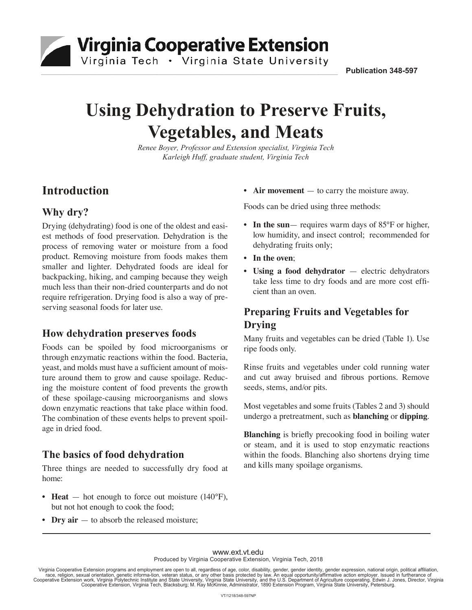Virginia Cooperative Extension

 $\_$  , and the set of the set of the set of the set of the set of the set of the set of the set of the set of the set of the set of the set of the set of the set of the set of the set of the set of the set of the set of th

Virginia Tech • Virginia State University

**publication 348-597** 

# **Using Dehydration to Preserve Fruits, Vegetables, and Meats**

*Renee Boyer, Professor and Extension specialist, Virginia Tech Karleigh Huff, graduate student, Virginia Tech*

# **Introduction**

## **Why dry?**

Drying (dehydrating) food is one of the oldest and easiest methods of food preservation. Dehydration is the process of removing water or moisture from a food product. Removing moisture from foods makes them smaller and lighter. Dehydrated foods are ideal for backpacking, hiking, and camping because they weigh much less than their non-dried counterparts and do not require refrigeration. Drying food is also a way of preserving seasonal foods for later use.

#### **How dehydration preserves foods**

Foods can be spoiled by food microorganisms or through enzymatic reactions within the food. Bacteria, yeast, and molds must have a sufficient amount of moisture around them to grow and cause spoilage. Reducing the moisture content of food prevents the growth of these spoilage-causing microorganisms and slows down enzymatic reactions that take place within food. The combination of these events helps to prevent spoilage in dried food.

#### **The basics of food dehydration**

Three things are needed to successfully dry food at home:

- **Heat** hot enough to force out moisture (140°F), but not hot enough to cook the food;
- **Dry air** to absorb the released moisture;

• **Air movement** — to carry the moisture away.

Foods can be dried using three methods:

- In the sun— requires warm days of 85°F or higher, low humidity, and insect control; recommended for dehydrating fruits only;
- **In the oven**;
- **Using a food dehydrator** electric dehydrators take less time to dry foods and are more cost efficient than an oven.

# **Preparing Fruits and Vegetables for Drying**

Many fruits and vegetables can be dried (Table 1). Use ripe foods only.

Rinse fruits and vegetables under cold running water and cut away bruised and fibrous portions. Remove seeds, stems, and/or pits.

Most vegetables and some fruits (Tables 2 and 3) should undergo a pretreatment, such as **blanching** or **dipping**.

**Blanching** is briefly precooking food in boiling water or steam, and it is used to stop enzymatic reactions within the foods. Blanching also shortens drying time and kills many spoilage organisms.

#### www.ext.vt.edu Produced by Virginia Cooperative Extension, Virginia Tech, 2018

Virginia Cooperative Extension programs and employment are open to all, regardless of age, color, disability, gender, gender identity, gender expression, national origin, political affiliation,<br>race, religion, sexual orien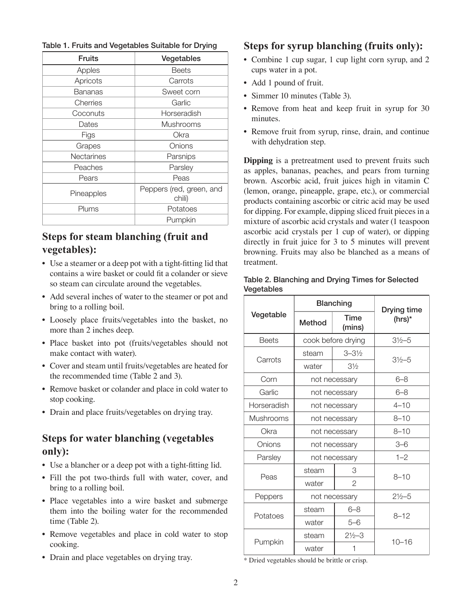Table 1. Fruits and Vegetables Suitable for Drying

| <b>Fruits</b>     | Vegetables                         |  |
|-------------------|------------------------------------|--|
| Apples            | Beets                              |  |
| Apricots          | Carrots                            |  |
| Bananas           | Sweet corn                         |  |
| Cherries          | Garlic                             |  |
| Coconuts          | Horseradish                        |  |
| Dates             | <b>Mushrooms</b>                   |  |
| Figs              | Okra                               |  |
| Grapes            | Onions                             |  |
| <b>Nectarines</b> | Parsnips                           |  |
| Peaches           | Parsley                            |  |
| Pears             | Peas                               |  |
| Pineapples        | Peppers (red, green, and<br>chili) |  |
| Plums             | Potatoes                           |  |
|                   | Pumpkin                            |  |

#### **Steps for steam blanching (fruit and vegetables):**

- Use a steamer or a deep pot with a tight-fitting lid that contains a wire basket or could fit a colander or sieve so steam can circulate around the vegetables.
- Add several inches of water to the steamer or pot and bring to a rolling boil.
- Loosely place fruits/vegetables into the basket, no more than 2 inches deep.
- Place basket into pot (fruits/vegetables should not make contact with water).
- Cover and steam until fruits/vegetables are heated for the recommended time (Table 2 and 3).
- Remove basket or colander and place in cold water to stop cooking.
- Drain and place fruits/vegetables on drying tray.

#### **Steps for water blanching (vegetables only):**

- Use a blancher or a deep pot with a tight-fitting lid.
- Fill the pot two-thirds full with water, cover, and bring to a rolling boil.
- Place vegetables into a wire basket and submerge them into the boiling water for the recommended time (Table 2).
- Remove vegetables and place in cold water to stop cooking.
- Drain and place vegetables on drying tray.

#### **Steps for syrup blanching (fruits only):**

- Combine 1 cup sugar, 1 cup light corn syrup, and 2 cups water in a pot.
- Add 1 pound of fruit.
- Simmer 10 minutes (Table 3).
- Remove from heat and keep fruit in syrup for 30 minutes.
- Remove fruit from syrup, rinse, drain, and continue with dehydration step.

**Dipping** is a pretreatment used to prevent fruits such as apples, bananas, peaches, and pears from turning brown. Ascorbic acid, fruit juices high in vitamin C (lemon, orange, pineapple, grape, etc.), or commercial products containing ascorbic or citric acid may be used for dipping. For example, dipping sliced fruit pieces in a mixture of ascorbic acid crystals and water (1 teaspoon ascorbic acid crystals per 1 cup of water), or dipping directly in fruit juice for 3 to 5 minutes will prevent browning. Fruits may also be blanched as a means of treatment.

|              | <b>Blanching</b>   | Drying time        |                    |  |
|--------------|--------------------|--------------------|--------------------|--|
| Vegetable    | Method             | Time<br>(mins)     | (hrs)*             |  |
| <b>Beets</b> | cook before drying |                    | $3\frac{1}{2}$ -5  |  |
| Carrots      | steam              | $3 - 3\frac{1}{2}$ | $3\frac{1}{2}$ -5  |  |
|              | water              | $3\frac{1}{2}$     |                    |  |
| Corn         | not necessary      |                    | $6 - 8$            |  |
| Garlic       | not necessary      |                    | $6 - 8$            |  |
| Horseradish  | not necessary      |                    | $4 - 10$           |  |
| Mushrooms    | not necessary      |                    | $8 - 10$           |  |
| Okra         | not necessary      |                    | $8 - 10$           |  |
| Onions       | not necessary      |                    | $3 - 6$            |  |
| Parsley      | not necessary      |                    | $1 - 2$            |  |
| Peas         | steam              | 3                  |                    |  |
|              | water              | 2                  | $8 - 10$           |  |
| Peppers      | not necessary      |                    | $2\frac{1}{2} - 5$ |  |
| Potatoes     | steam              | $6 - 8$            | $8 - 12$           |  |
|              | water              | $5 - 6$            |                    |  |
|              | steam              | $2\frac{1}{2} - 3$ | $10 - 16$          |  |
| Pumpkin      | water              | 1                  |                    |  |

#### Table 2. Blanching and Drying Times for Selected **Vegetables**

\* Dried vegetables should be brittle or crisp.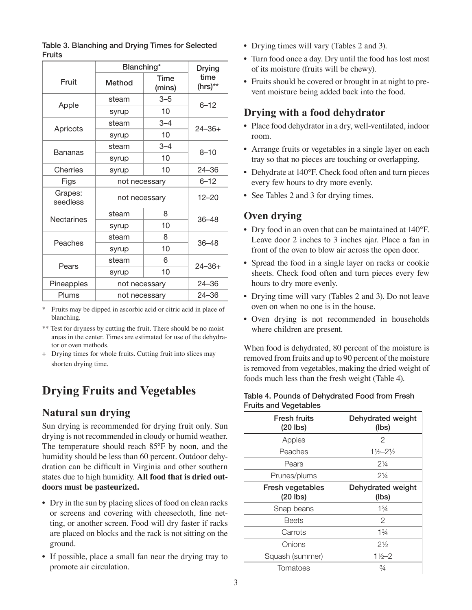|                     | Blanching*    |                | <b>Drying</b>   |  |
|---------------------|---------------|----------------|-----------------|--|
| Fruit               | Method        | Time<br>(mins) | time<br>(hrs)** |  |
|                     | steam         | $3 - 5$        |                 |  |
| Apple               | syrup         | 10             | $6 - 12$        |  |
|                     | steam         | $3 - 4$        | $24 - 36 +$     |  |
| Apricots            | syrup         | 10             |                 |  |
| <b>Bananas</b>      | steam         | $3 - 4$        | $8 - 10$        |  |
|                     | syrup         | 10             |                 |  |
| Cherries            | syrup         | 10             | $24 - 36$       |  |
| Figs                | not necessarv |                | $6 - 12$        |  |
| Grapes:<br>seedless | not necessary |                | $12 - 20$       |  |
| Nectarines          | steam         | 8              | $36 - 48$       |  |
|                     | syrup         | 10             |                 |  |
| Peaches             | steam         | 8              | $36 - 48$       |  |
|                     | syrup         | 10             |                 |  |
| Pears               | steam         | 6              | $24 - 36 +$     |  |
|                     | syrup         | 10             |                 |  |
| Pineapples          | not necessary |                | 24-36           |  |
| Plums               | not necessary |                | $24 - 36$       |  |

Table 3. Blanching and Drying Times for Selected Fruits

Fruits may be dipped in ascorbic acid or citric acid in place of blanching.

\*\* Test for dryness by cutting the fruit. There should be no moist areas in the center. Times are estimated for use of the dehydrator or oven methods.

+ Drying times for whole fruits. Cutting fruit into slices may shorten drying time.

# **Drying Fruits and Vegetables**

#### **Natural sun drying**

Sun drying is recommended for drying fruit only. Sun drying is not recommended in cloudy or humid weather. The temperature should reach 85°F by noon, and the humidity should be less than 60 percent. Outdoor dehydration can be difficult in Virginia and other southern states due to high humidity. **All food that is dried outdoors must be pasteurized.**

- Dry in the sun by placing slices of food on clean racks or screens and covering with cheesecloth, fine netting, or another screen. Food will dry faster if racks are placed on blocks and the rack is not sitting on the ground.
- If possible, place a small fan near the drying tray to promote air circulation.
- Drying times will vary (Tables 2 and 3).
- Turn food once a day. Dry until the food has lost most of its moisture (fruits will be chewy).
- Fruits should be covered or brought in at night to prevent moisture being added back into the food.

#### **Drying with a food dehydrator**

- Place food dehydrator in a dry, well-ventilated, indoor room.
- Arrange fruits or vegetables in a single layer on each tray so that no pieces are touching or overlapping.
- Dehydrate at 140°F. Check food often and turn pieces every few hours to dry more evenly.
- See Tables 2 and 3 for drying times.

## **Oven drying**

- Dry food in an oven that can be maintained at 140°F. Leave door 2 inches to 3 inches ajar. Place a fan in front of the oven to blow air across the open door.
- Spread the food in a single layer on racks or cookie sheets. Check food often and turn pieces every few hours to dry more evenly.
- Drying time will vary (Tables 2 and 3). Do not leave oven on when no one is in the house.
- Oven drying is not recommended in households where children are present.

When food is dehydrated, 80 percent of the moisture is removed from fruits and up to 90 percent of the moisture is removed from vegetables, making the dried weight of foods much less than the fresh weight (Table 4).

| <b>Fresh fruits</b><br>$(20$ lbs) | Dehydrated weight<br>(lbs)    |  |
|-----------------------------------|-------------------------------|--|
| Apples                            | 2                             |  |
| Peaches                           | $1\frac{1}{2} - 2\frac{1}{2}$ |  |
| Pears                             | $2\frac{1}{4}$                |  |
| Prunes/plums                      | $2\frac{1}{4}$                |  |
| Fresh vegetables<br>$(20$ lbs)    | Dehydrated weight<br>(lbs)    |  |
| Snap beans                        | $1\frac{3}{4}$                |  |
| <b>Beets</b>                      | $\mathcal{P}$                 |  |
| Carrots                           | $1\frac{3}{4}$                |  |
| Onions                            | $2\frac{1}{2}$                |  |
| Squash (summer)                   | $1\frac{1}{2} - 2$            |  |
| Tomatoes                          | $\frac{3}{4}$                 |  |

#### Table 4. Pounds of Dehydrated Food from Fresh Fruits and Vegetables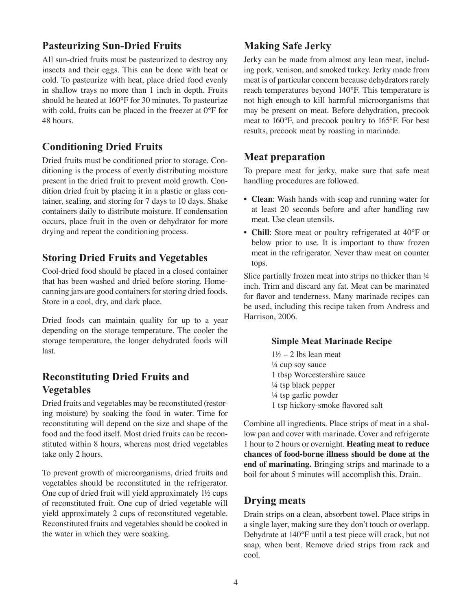#### **Pasteurizing Sun-Dried Fruits**

All sun-dried fruits must be pasteurized to destroy any insects and their eggs. This can be done with heat or cold. To pasteurize with heat, place dried food evenly in shallow trays no more than 1 inch in depth. Fruits should be heated at 160°F for 30 minutes. To pasteurize with cold, fruits can be placed in the freezer at 0°F for 48 hours.

#### **Conditioning Dried Fruits**

Dried fruits must be conditioned prior to storage. Conditioning is the process of evenly distributing moisture present in the dried fruit to prevent mold growth. Condition dried fruit by placing it in a plastic or glass container, sealing, and storing for 7 days to 10 days. Shake containers daily to distribute moisture. If condensation occurs, place fruit in the oven or dehydrator for more drying and repeat the conditioning process.

#### **Storing Dried Fruits and Vegetables**

Cool-dried food should be placed in a closed container that has been washed and dried before storing. Homecanning jars are good containers for storing dried foods. Store in a cool, dry, and dark place.

Dried foods can maintain quality for up to a year depending on the storage temperature. The cooler the storage temperature, the longer dehydrated foods will last.

## **Reconstituting Dried Fruits and Vegetables**

Dried fruits and vegetables may be reconstituted (restoring moisture) by soaking the food in water. Time for reconstituting will depend on the size and shape of the food and the food itself. Most dried fruits can be reconstituted within 8 hours, whereas most dried vegetables take only 2 hours.

To prevent growth of microorganisms, dried fruits and vegetables should be reconstituted in the refrigerator. One cup of dried fruit will yield approximately 1½ cups of reconstituted fruit. One cup of dried vegetable will yield approximately 2 cups of reconstituted vegetable. Reconstituted fruits and vegetables should be cooked in the water in which they were soaking.

## **Making Safe Jerky**

Jerky can be made from almost any lean meat, including pork, venison, and smoked turkey. Jerky made from meat is of particular concern because dehydrators rarely reach temperatures beyond 140°F. This temperature is not high enough to kill harmful microorganisms that may be present on meat. Before dehydration, precook meat to 160°F, and precook poultry to 165°F. For best results, precook meat by roasting in marinade.

#### **Meat preparation**

To prepare meat for jerky, make sure that safe meat handling procedures are followed.

- **Clean**: Wash hands with soap and running water for at least 20 seconds before and after handling raw meat. Use clean utensils.
- **Chill**: Store meat or poultry refrigerated at 40°F or below prior to use. It is important to thaw frozen meat in the refrigerator. Never thaw meat on counter tops.

Slice partially frozen meat into strips no thicker than  $\frac{1}{4}$ inch. Trim and discard any fat. Meat can be marinated for flavor and tenderness. Many marinade recipes can be used, including this recipe taken from Andress and Harrison, 2006.

#### **Simple Meat Marinade Recipe**

 $1\frac{1}{2}$  – 2 lbs lean meat ¼ cup soy sauce 1 tbsp Worcestershire sauce ¼ tsp black pepper ¼ tsp garlic powder 1 tsp hickory-smoke flavored salt

Combine all ingredients. Place strips of meat in a shallow pan and cover with marinade. Cover and refrigerate 1 hour to 2 hours or overnight. **Heating meat to reduce chances of food-borne illness should be done at the end of marinating.** Bringing strips and marinade to a boil for about 5 minutes will accomplish this. Drain.

#### **Drying meats**

Drain strips on a clean, absorbent towel. Place strips in a single layer, making sure they don't touch or overlapp. Dehydrate at 140°F until a test piece will crack, but not snap, when bent. Remove dried strips from rack and cool.